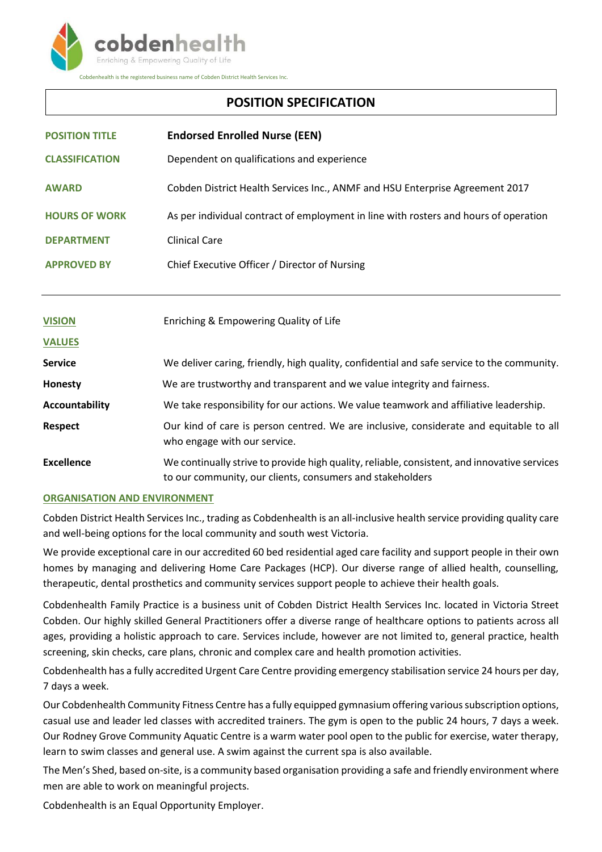

# **POSITION SPECIFICATION**

| <b>POSITION TITLE</b> | <b>Endorsed Enrolled Nurse (EEN)</b>                                                                                                                      |
|-----------------------|-----------------------------------------------------------------------------------------------------------------------------------------------------------|
| <b>CLASSIFICATION</b> | Dependent on qualifications and experience                                                                                                                |
| <b>AWARD</b>          | Cobden District Health Services Inc., ANMF and HSU Enterprise Agreement 2017                                                                              |
| <b>HOURS OF WORK</b>  | As per individual contract of employment in line with rosters and hours of operation                                                                      |
| <b>DEPARTMENT</b>     | <b>Clinical Care</b>                                                                                                                                      |
| <b>APPROVED BY</b>    | Chief Executive Officer / Director of Nursing                                                                                                             |
|                       |                                                                                                                                                           |
| <b>VISION</b>         | Enriching & Empowering Quality of Life                                                                                                                    |
| <b>VALUES</b>         |                                                                                                                                                           |
| Service               | We deliver caring, friendly, high quality, confidential and safe service to the community.                                                                |
| <b>Honesty</b>        | We are trustworthy and transparent and we value integrity and fairness.                                                                                   |
| <b>Accountability</b> | We take responsibility for our actions. We value teamwork and affiliative leadership.                                                                     |
| <b>Respect</b>        | Our kind of care is person centred. We are inclusive, considerate and equitable to all<br>who engage with our service.                                    |
| <b>Excellence</b>     | We continually strive to provide high quality, reliable, consistent, and innovative services<br>to our community, our clients, consumers and stakeholders |

## **ORGANISATION AND ENVIRONMENT**

Cobden District Health Services Inc., trading as Cobdenhealth is an all-inclusive health service providing quality care and well-being options for the local community and south west Victoria.

We provide exceptional care in our accredited 60 bed residential aged care facility and support people in their own homes by managing and delivering Home Care Packages (HCP). Our diverse range of allied health, counselling, therapeutic, dental prosthetics and community services support people to achieve their health goals.

Cobdenhealth Family Practice is a business unit of Cobden District Health Services Inc. located in Victoria Street Cobden. Our highly skilled General Practitioners offer a diverse range of healthcare options to patients across all ages, providing a holistic approach to care. Services include, however are not limited to, general practice, health screening, skin checks, care plans, chronic and complex care and health promotion activities.

Cobdenhealth has a fully accredited Urgent Care Centre providing emergency stabilisation service 24 hours per day, 7 days a week.

Our Cobdenhealth Community Fitness Centre has a fully equipped gymnasium offering various subscription options, casual use and leader led classes with accredited trainers. The gym is open to the public 24 hours, 7 days a week. Our Rodney Grove Community Aquatic Centre is a warm water pool open to the public for exercise, water therapy, learn to swim classes and general use. A swim against the current spa is also available.

The Men's Shed, based on-site, is a community based organisation providing a safe and friendly environment where men are able to work on meaningful projects.

Cobdenhealth is an Equal Opportunity Employer.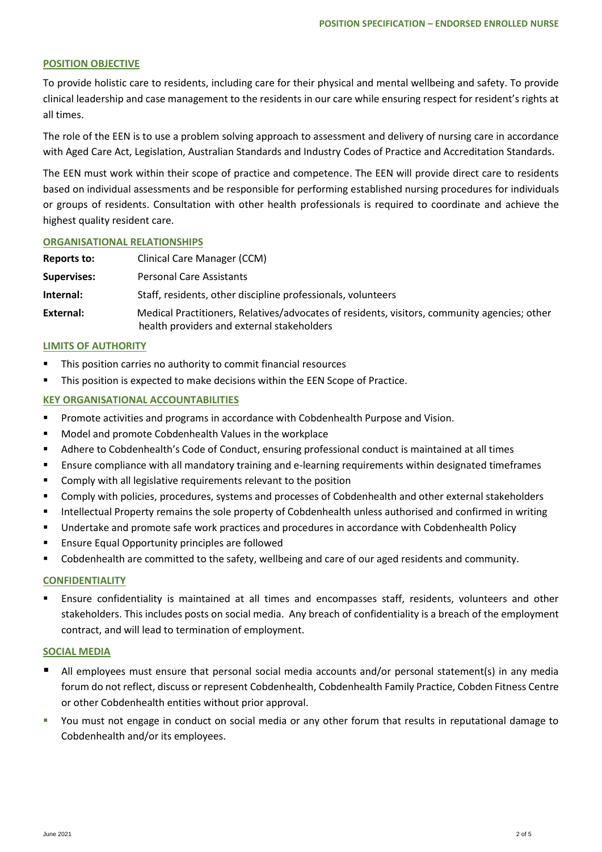#### **POSITION OBJECTIVE**

To provide holistic care to residents, including care for their physical and mental wellbeing and safety. To provide clinical leadership and case management to the residents in our care while ensuring respect for resident's rights at all times.

The role of the EEN is to use a problem solving approach to assessment and delivery of nursing care in accordance with Aged Care Act, Legislation, Australian Standards and Industry Codes of Practice and Accreditation Standards.

The EEN must work within their scope of practice and competence. The EEN will provide direct care to residents based on individual assessments and be responsible for performing established nursing procedures for individuals or groups of residents. Consultation with other health professionals is required to coordinate and achieve the highest quality resident care.

#### **ORGANISATIONAL RELATIONSHIPS**

| Reports to:        | Clinical Care Manager (CCM)                                                                                                                |
|--------------------|--------------------------------------------------------------------------------------------------------------------------------------------|
| <b>Supervises:</b> | <b>Personal Care Assistants</b>                                                                                                            |
| Internal:          | Staff, residents, other discipline professionals, volunteers                                                                               |
| External:          | Medical Practitioners, Relatives/advocates of residents, visitors, community agencies; other<br>health providers and external stakeholders |

#### **LIMITS OF AUTHORITY**

- **This position carries no authority to commit financial resources**
- **This position is expected to make decisions within the EEN Scope of Practice.**

#### **KEY ORGANISATIONAL ACCOUNTABILITIES**

- **Promote activities and programs in accordance with Cobdenhealth Purpose and Vision.**
- **Model and promote Cobdenhealth Values in the workplace**
- Adhere to Cobdenhealth's Code of Conduct, ensuring professional conduct is maintained at all times
- Ensure compliance with all mandatory training and e-learning requirements within designated timeframes
- **EXECOMPLA** Comply with all legislative requirements relevant to the position
- Comply with policies, procedures, systems and processes of Cobdenhealth and other external stakeholders
- **Intellectual Property remains the sole property of Cobdenhealth unless authorised and confirmed in writing**
- Undertake and promote safe work practices and procedures in accordance with Cobdenhealth Policy
- **Ensure Equal Opportunity principles are followed**
- Cobdenhealth are committed to the safety, wellbeing and care of our aged residents and community.

#### **CONFIDENTIALITY**

 Ensure confidentiality is maintained at all times and encompasses staff, residents, volunteers and other stakeholders. This includes posts on social media. Any breach of confidentiality is a breach of the employment contract, and will lead to termination of employment.

#### **SOCIAL MEDIA**

- All employees must ensure that personal social media accounts and/or personal statement(s) in any media forum do not reflect, discuss or represent Cobdenhealth, Cobdenhealth Family Practice, Cobden Fitness Centre or other Cobdenhealth entities without prior approval.
- You must not engage in conduct on social media or any other forum that results in reputational damage to Cobdenhealth and/or its employees.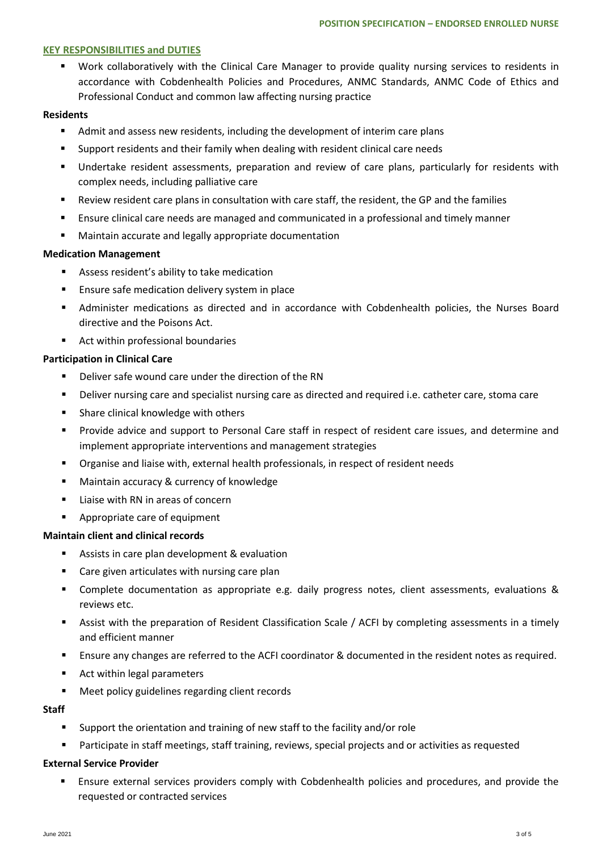#### **KEY RESPONSIBILITIES and DUTIES**

 Work collaboratively with the Clinical Care Manager to provide quality nursing services to residents in accordance with Cobdenhealth Policies and Procedures, ANMC Standards, ANMC Code of Ethics and Professional Conduct and common law affecting nursing practice

#### **Residents**

- Admit and assess new residents, including the development of interim care plans
- Support residents and their family when dealing with resident clinical care needs
- Undertake resident assessments, preparation and review of care plans, particularly for residents with complex needs, including palliative care
- Review resident care plans in consultation with care staff, the resident, the GP and the families
- Ensure clinical care needs are managed and communicated in a professional and timely manner
- Maintain accurate and legally appropriate documentation

## **Medication Management**

- Assess resident's ability to take medication
- **Ensure safe medication delivery system in place**
- Administer medications as directed and in accordance with Cobdenhealth policies, the Nurses Board directive and the Poisons Act.
- Act within professional boundaries

## **Participation in Clinical Care**

- Deliver safe wound care under the direction of the RN
- Deliver nursing care and specialist nursing care as directed and required i.e. catheter care, stoma care
- **Share clinical knowledge with others**
- Provide advice and support to Personal Care staff in respect of resident care issues, and determine and implement appropriate interventions and management strategies
- Organise and liaise with, external health professionals, in respect of resident needs
- **Maintain accuracy & currency of knowledge**
- $\blacksquare$  Liaise with RN in areas of concern
- Appropriate care of equipment

## **Maintain client and clinical records**

- Assists in care plan development & evaluation
- Care given articulates with nursing care plan
- Complete documentation as appropriate e.g. daily progress notes, client assessments, evaluations & reviews etc.
- Assist with the preparation of Resident Classification Scale / ACFI by completing assessments in a timely and efficient manner
- Ensure any changes are referred to the ACFI coordinator & documented in the resident notes as required.
- Act within legal parameters
- **Meet policy guidelines regarding client records**

## **Staff**

- Support the orientation and training of new staff to the facility and/or role
- Participate in staff meetings, staff training, reviews, special projects and or activities as requested

## **External Service Provider**

 Ensure external services providers comply with Cobdenhealth policies and procedures, and provide the requested or contracted services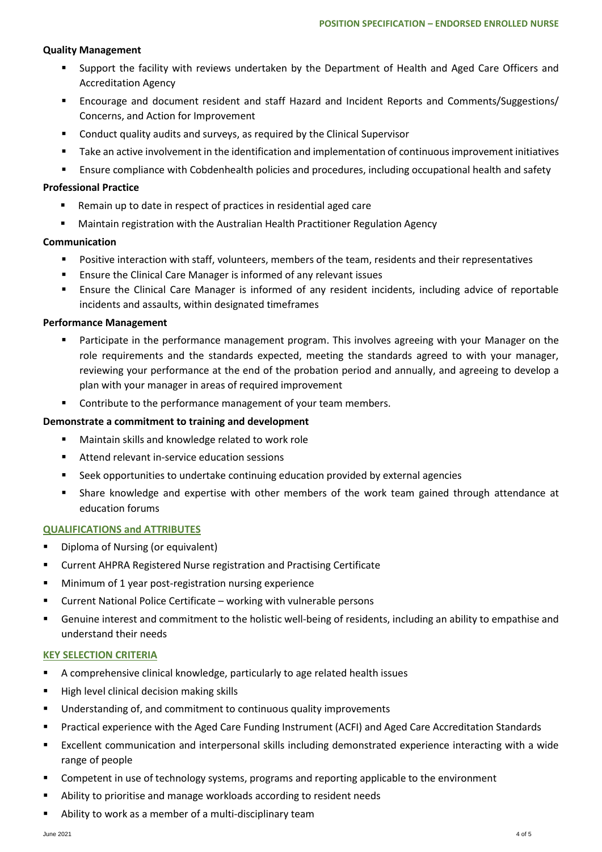# **Quality Management**

- Support the facility with reviews undertaken by the Department of Health and Aged Care Officers and Accreditation Agency
- Encourage and document resident and staff Hazard and Incident Reports and Comments/Suggestions/ Concerns, and Action for Improvement
- **E** Conduct quality audits and surveys, as required by the Clinical Supervisor
- Take an active involvement in the identification and implementation of continuous improvement initiatives
- **Ensure compliance with Cobdenhealth policies and procedures, including occupational health and safety**

# **Professional Practice**

- Remain up to date in respect of practices in residential aged care
- Maintain registration with the Australian Health Practitioner Regulation Agency

## **Communication**

- Positive interaction with staff, volunteers, members of the team, residents and their representatives
- **Ensure the Clinical Care Manager is informed of any relevant issues**
- Ensure the Clinical Care Manager is informed of any resident incidents, including advice of reportable incidents and assaults, within designated timeframes

# **Performance Management**

- Participate in the performance management program. This involves agreeing with your Manager on the role requirements and the standards expected, meeting the standards agreed to with your manager, reviewing your performance at the end of the probation period and annually, and agreeing to develop a plan with your manager in areas of required improvement
- **EXECONTER THE VALUTE CONTROVER THE CONTROVER THE CONTROVER THE CONTROVER THE CONTROVER THE CONTROVER THE CONTR**

# **Demonstrate a commitment to training and development**

- Maintain skills and knowledge related to work role
- Attend relevant in-service education sessions
- Seek opportunities to undertake continuing education provided by external agencies
- Share knowledge and expertise with other members of the work team gained through attendance at education forums

## **QUALIFICATIONS and ATTRIBUTES**

- **•** Diploma of Nursing (or equivalent)
- **EXP** Current AHPRA Registered Nurse registration and Practising Certificate
- **Minimum of 1 year post-registration nursing experience**
- Current National Police Certificate working with vulnerable persons
- Genuine interest and commitment to the holistic well-being of residents, including an ability to empathise and understand their needs

## **KEY SELECTION CRITERIA**

- A comprehensive clinical knowledge, particularly to age related health issues
- High level clinical decision making skills
- **Understanding of, and commitment to continuous quality improvements**
- Practical experience with the Aged Care Funding Instrument (ACFI) and Aged Care Accreditation Standards
- Excellent communication and interpersonal skills including demonstrated experience interacting with a wide range of people
- Competent in use of technology systems, programs and reporting applicable to the environment
- Ability to prioritise and manage workloads according to resident needs
- Ability to work as a member of a multi-disciplinary team